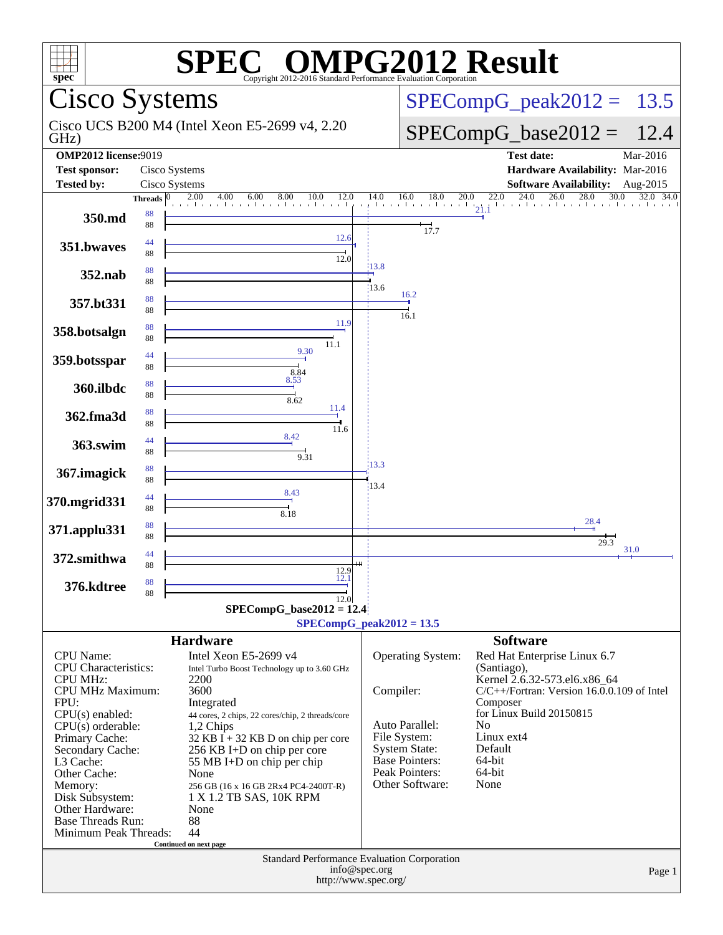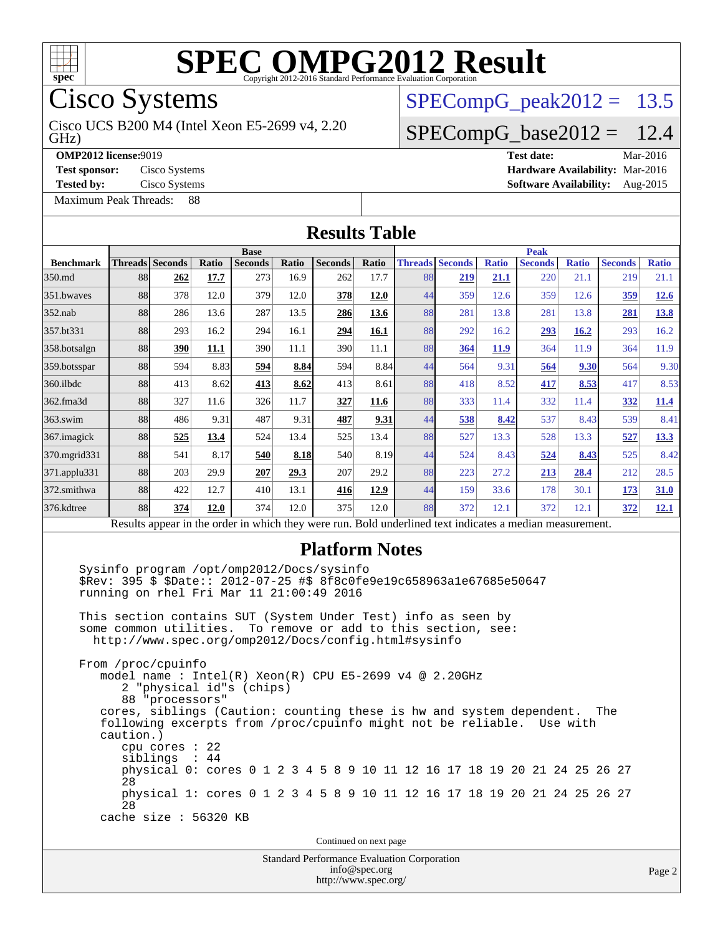

Cisco Systems

GHz) Cisco UCS B200 M4 (Intel Xeon E5-2699 v4, 2.20

[Maximum Peak Threads:](http://www.spec.org/auto/omp2012/Docs/result-fields.html#MaximumPeakThreads) 88

 $SPECompG_peak2012 = 13.5$  $SPECompG_peak2012 = 13.5$ 

### $SPECompG_base2012 = 12.4$  $SPECompG_base2012 = 12.4$

**[OMP2012 license:](http://www.spec.org/auto/omp2012/Docs/result-fields.html#OMP2012license)**9019 **[Test date:](http://www.spec.org/auto/omp2012/Docs/result-fields.html#Testdate)** Mar-2016 **[Test sponsor:](http://www.spec.org/auto/omp2012/Docs/result-fields.html#Testsponsor)** Cisco Systems **[Hardware Availability:](http://www.spec.org/auto/omp2012/Docs/result-fields.html#HardwareAvailability)** Mar-2016 **[Tested by:](http://www.spec.org/auto/omp2012/Docs/result-fields.html#Testedby)** Cisco Systems **[Software Availability:](http://www.spec.org/auto/omp2012/Docs/result-fields.html#SoftwareAvailability)** Aug-2015

| <b>Results Table</b>                                                                                     |                                                                                                |                                                    |       |                                                                                                                                                                           |       |                                                                     |               |    |                                                                                                                                                                                                                                                                                                                 |              |                                                                                                                                                                                                                              |              |                |              |
|----------------------------------------------------------------------------------------------------------|------------------------------------------------------------------------------------------------|----------------------------------------------------|-------|---------------------------------------------------------------------------------------------------------------------------------------------------------------------------|-------|---------------------------------------------------------------------|---------------|----|-----------------------------------------------------------------------------------------------------------------------------------------------------------------------------------------------------------------------------------------------------------------------------------------------------------------|--------------|------------------------------------------------------------------------------------------------------------------------------------------------------------------------------------------------------------------------------|--------------|----------------|--------------|
|                                                                                                          |                                                                                                |                                                    |       | <b>Base</b>                                                                                                                                                               |       |                                                                     |               |    |                                                                                                                                                                                                                                                                                                                 |              | <b>Peak</b>                                                                                                                                                                                                                  |              |                |              |
| <b>Benchmark</b>                                                                                         | Threads Seconds                                                                                |                                                    | Ratio | Seconds                                                                                                                                                                   | Ratio | <b>Seconds</b>                                                      | <b>Ratio</b>  |    | <b>Threads</b> Seconds                                                                                                                                                                                                                                                                                          | <b>Ratio</b> | <b>Seconds</b>                                                                                                                                                                                                               | <b>Ratio</b> | <b>Seconds</b> | <b>Ratio</b> |
| 350.md                                                                                                   | 88                                                                                             | 262                                                | 17.7  | 273                                                                                                                                                                       | 16.9  | 262                                                                 | 17.7          | 88 | 219                                                                                                                                                                                                                                                                                                             | 21.1         | 220                                                                                                                                                                                                                          | 21.1         | 219            | 21.1         |
| 351.bwayes                                                                                               | 88                                                                                             | 378                                                | 12.0  | 379                                                                                                                                                                       | 12.0  | 378                                                                 | 12.0          | 44 | 359                                                                                                                                                                                                                                                                                                             | 12.6         | 359                                                                                                                                                                                                                          | 12.6         | 359            | 12.6         |
| $352$ .nab                                                                                               | 88                                                                                             | 286                                                | 13.6  | 287                                                                                                                                                                       | 13.5  | 286                                                                 | 13.6          | 88 | 281                                                                                                                                                                                                                                                                                                             | 13.8         | 281                                                                                                                                                                                                                          | 13.8         | 281            | <b>13.8</b>  |
| 357.bt331                                                                                                | 88                                                                                             | 293                                                | 16.2  | 294                                                                                                                                                                       | 16.1  | 294                                                                 | 16.1          | 88 | 292                                                                                                                                                                                                                                                                                                             | 16.2         | 293                                                                                                                                                                                                                          | 16.2         | 293            | 16.2         |
| 358.botsalgn                                                                                             | 88                                                                                             | 390                                                | 11.1  | 390                                                                                                                                                                       | 11.1  | 390                                                                 | 11.1          | 88 | 364                                                                                                                                                                                                                                                                                                             | <b>11.9</b>  | 364                                                                                                                                                                                                                          | 11.9         | 364            | 11.9         |
| 359.botsspar                                                                                             | 88                                                                                             | 594                                                | 8.83  | 594                                                                                                                                                                       | 8.84  | 594                                                                 | 8.84          | 44 | 564                                                                                                                                                                                                                                                                                                             | 9.31         | 564                                                                                                                                                                                                                          | 9.30         | 564            | 9.30         |
| 360.ilbdc                                                                                                | 88                                                                                             | 413                                                | 8.62  | 413                                                                                                                                                                       | 8.62  | 413                                                                 | 8.61          | 88 | 418                                                                                                                                                                                                                                                                                                             | 8.52         | 417                                                                                                                                                                                                                          | 8.53         | 417            | 8.53         |
| 362.fma3d                                                                                                | 88                                                                                             | 327                                                | 11.6  | 326                                                                                                                                                                       | 11.7  | 327                                                                 | 11.6          | 88 | 333                                                                                                                                                                                                                                                                                                             | 11.4         | 332                                                                                                                                                                                                                          | 11.4         | 332            | <b>11.4</b>  |
| $363$ .swim                                                                                              | 88                                                                                             | 486                                                | 9.31  | 487                                                                                                                                                                       | 9.31  | 487                                                                 | 9.31          | 44 | 538                                                                                                                                                                                                                                                                                                             | 8.42         | 537                                                                                                                                                                                                                          | 8.43         | 539            | 8.41         |
| 367. imagick                                                                                             | 88                                                                                             | 525                                                | 13.4  | 524                                                                                                                                                                       | 13.4  | 525                                                                 | 13.4          | 88 | 527                                                                                                                                                                                                                                                                                                             | 13.3         | 528                                                                                                                                                                                                                          | 13.3         | 527            | 13.3         |
| 370.mgrid331                                                                                             | 88                                                                                             | 541                                                | 8.17  | 540                                                                                                                                                                       | 8.18  | 540                                                                 | 8.19          | 44 | 524                                                                                                                                                                                                                                                                                                             | 8.43         | 524                                                                                                                                                                                                                          | 8.43         | 525            | 8.42         |
| 371.applu331                                                                                             | 88                                                                                             | 203                                                | 29.9  | 207                                                                                                                                                                       | 29.3  | 207                                                                 | 29.2          | 88 | 223                                                                                                                                                                                                                                                                                                             | 27.2         | 213                                                                                                                                                                                                                          | 28.4         | 212            | 28.5         |
| 372.smithwa                                                                                              | 88                                                                                             | 422                                                | 12.7  | 410                                                                                                                                                                       | 13.1  | 416                                                                 | 12.9          | 44 | 159                                                                                                                                                                                                                                                                                                             | 33.6         | 178                                                                                                                                                                                                                          | 30.1         | 173            | <b>31.0</b>  |
| 376.kdtree                                                                                               | 88                                                                                             | 374                                                | 12.0  | 374                                                                                                                                                                       | 12.0  | 375                                                                 | 12.0          | 88 | 372                                                                                                                                                                                                                                                                                                             | 12.1         | 372                                                                                                                                                                                                                          | 12.1         | 372            | 12.1         |
| Results appear in the order in which they were run. Bold underlined text indicates a median measurement. |                                                                                                |                                                    |       |                                                                                                                                                                           |       |                                                                     |               |    |                                                                                                                                                                                                                                                                                                                 |              |                                                                                                                                                                                                                              |              |                |              |
|                                                                                                          | some common utilities.<br>From /proc/cpuinfo<br>caution.)<br>28<br>28<br>cache size : 56320 KB | 88 "processors"<br>cpu cores : 22<br>siblings : 44 |       | Sysinfo program /opt/omp2012/Docs/sysinfo<br>running on rhel Fri Mar 11 21:00:49 2016<br>http://www.spec.org/omp2012/Docs/config.html#sysinfo<br>2 "physical id"s (chips) |       |                                                                     |               |    | \$Rev: 395 \$ \$Date:: 2012-07-25 #\$ 8f8c0fe9e19c658963a1e67685e50647<br>This section contains SUT (System Under Test) info as seen by<br>To remove or add to this section, see:<br>model name: $Intel(R)$ Xeon $(R)$ CPU E5-2699 v4 @ 2.20GHz<br>following excerpts from /proc/cpuinfo might not be reliable. |              | cores, siblings (Caution: counting these is hw and system dependent.<br>physical 0: cores 0 1 2 3 4 5 8 9 10 11 12 16 17 18 19 20 21 24 25 26 27<br>physical 1: cores 0 1 2 3 4 5 8 9 10 11 12 16 17 18 19 20 21 24 25 26 27 | Use with     | The            |              |
| Continued on next page                                                                                   |                                                                                                |                                                    |       |                                                                                                                                                                           |       |                                                                     |               |    |                                                                                                                                                                                                                                                                                                                 |              |                                                                                                                                                                                                                              |              |                |              |
|                                                                                                          |                                                                                                |                                                    |       |                                                                                                                                                                           |       | Standard Performance Evaluation Corporation<br>http://www.spec.org/ | info@spec.org |    |                                                                                                                                                                                                                                                                                                                 |              |                                                                                                                                                                                                                              |              |                | Page 2       |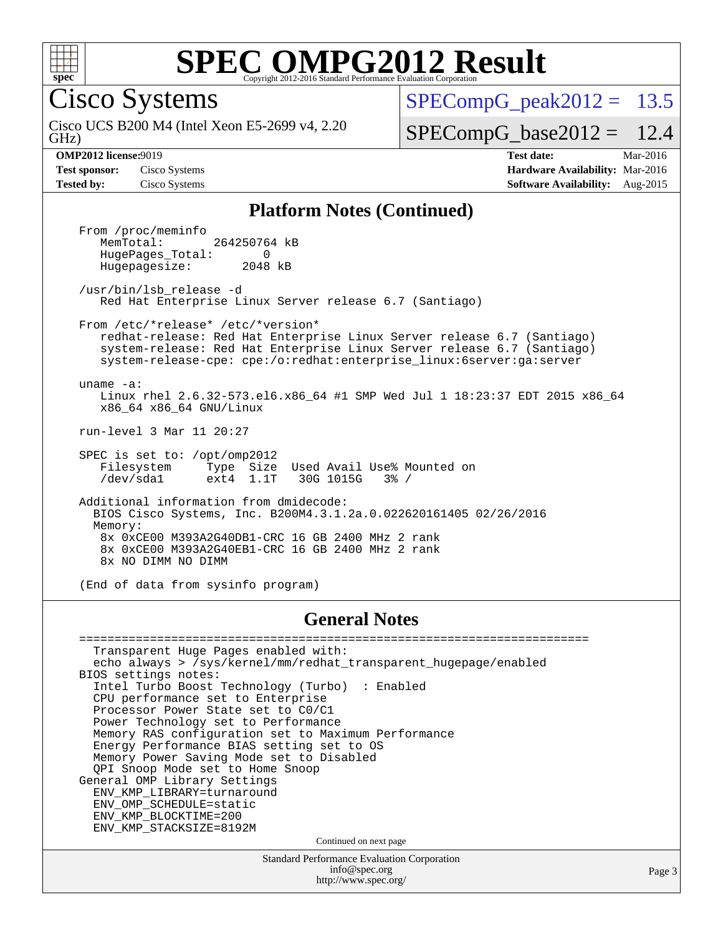

Cisco Systems

GHz) Cisco UCS B200 M4 (Intel Xeon E5-2699 v4, 2.20  $SPECompG<sub>peak2012</sub> = 13.5$ 

 $SPECompG_base2012 = 12.4$  $SPECompG_base2012 = 12.4$ 

**[OMP2012 license:](http://www.spec.org/auto/omp2012/Docs/result-fields.html#OMP2012license)**9019 **[Test date:](http://www.spec.org/auto/omp2012/Docs/result-fields.html#Testdate)** Mar-2016 **[Test sponsor:](http://www.spec.org/auto/omp2012/Docs/result-fields.html#Testsponsor)** Cisco Systems **[Hardware Availability:](http://www.spec.org/auto/omp2012/Docs/result-fields.html#HardwareAvailability)** Mar-2016 **[Tested by:](http://www.spec.org/auto/omp2012/Docs/result-fields.html#Testedby)** Cisco Systems **[Software Availability:](http://www.spec.org/auto/omp2012/Docs/result-fields.html#SoftwareAvailability)** Aug-2015

#### **[Platform Notes \(Continued\)](http://www.spec.org/auto/omp2012/Docs/result-fields.html#PlatformNotes)**

From /proc/meminfo<br>MemTotal: 264250764 kB HugePages\_Total: 0<br>Hugepagesize: 2048 kB Hugepagesize:

 /usr/bin/lsb\_release -d Red Hat Enterprise Linux Server release 6.7 (Santiago)

 From /etc/\*release\* /etc/\*version\* redhat-release: Red Hat Enterprise Linux Server release 6.7 (Santiago) system-release: Red Hat Enterprise Linux Server release 6.7 (Santiago) system-release-cpe: cpe:/o:redhat:enterprise\_linux:6server:ga:server

 uname -a: Linux rhel 2.6.32-573.el6.x86\_64 #1 SMP Wed Jul 1 18:23:37 EDT 2015 x86\_64 x86\_64 x86\_64 GNU/Linux

run-level 3 Mar 11 20:27

 SPEC is set to: /opt/omp2012 Filesystem Type Size Used Avail Use% Mounted on Filesystem Type Size Used Avail Use% M<br>
/dev/sda1 ext4 1.1T 30G 1015G 3% /

 Additional information from dmidecode: BIOS Cisco Systems, Inc. B200M4.3.1.2a.0.022620161405 02/26/2016 Memory: 8x 0xCE00 M393A2G40DB1-CRC 16 GB 2400 MHz 2 rank 8x 0xCE00 M393A2G40EB1-CRC 16 GB 2400 MHz 2 rank 8x NO DIMM NO DIMM

(End of data from sysinfo program)

#### **[General Notes](http://www.spec.org/auto/omp2012/Docs/result-fields.html#GeneralNotes)**

Standard Performance Evaluation Corporation [info@spec.org](mailto:info@spec.org) ======================================================================== Transparent Huge Pages enabled with: echo always > /sys/kernel/mm/redhat\_transparent\_hugepage/enabled BIOS settings notes: Intel Turbo Boost Technology (Turbo) : Enabled CPU performance set to Enterprise Processor Power State set to C0/C1 Power Technology set to Performance Memory RAS configuration set to Maximum Performance Energy Performance BIAS setting set to OS Memory Power Saving Mode set to Disabled QPI Snoop Mode set to Home Snoop General OMP Library Settings ENV\_KMP\_LIBRARY=turnaround ENV\_OMP\_SCHEDULE=static ENV\_KMP\_BLOCKTIME=200 ENV\_KMP\_STACKSIZE=8192M Continued on next page

<http://www.spec.org/>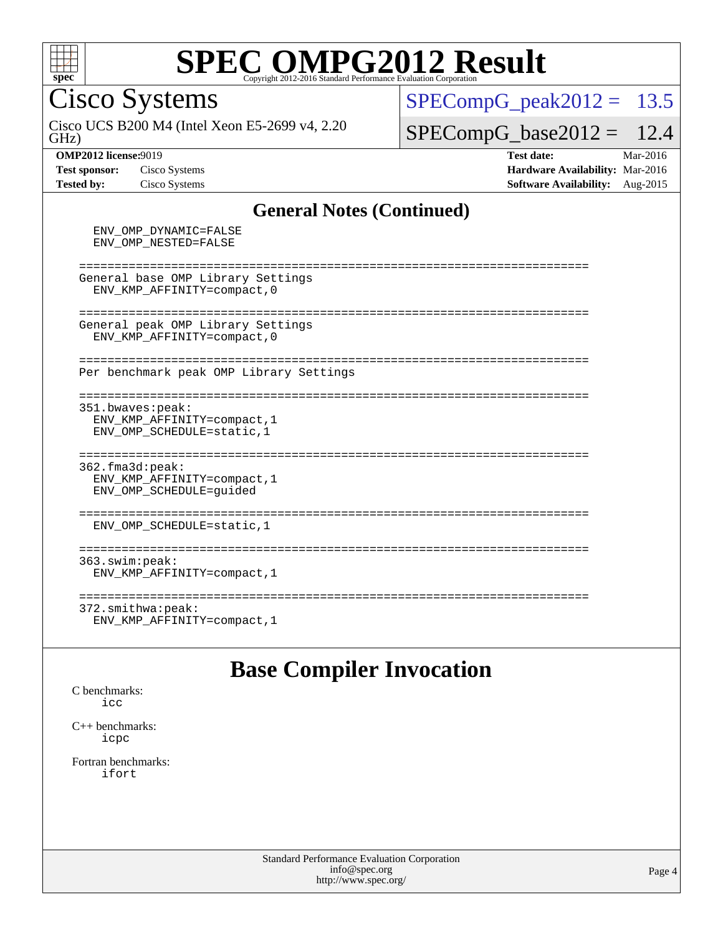

Cisco Systems

GHz) Cisco UCS B200 M4 (Intel Xeon E5-2699 v4, 2.20  $SPECompG_peak2012 = 13.5$  $SPECompG_peak2012 = 13.5$ 

 $SPECompG_base2012 = 12.4$  $SPECompG_base2012 = 12.4$ 

ENV\_OMP\_DYNAMIC=FALSE

**[OMP2012 license:](http://www.spec.org/auto/omp2012/Docs/result-fields.html#OMP2012license)**9019 **[Test date:](http://www.spec.org/auto/omp2012/Docs/result-fields.html#Testdate)** Mar-2016 **[Test sponsor:](http://www.spec.org/auto/omp2012/Docs/result-fields.html#Testsponsor)** Cisco Systems **[Hardware Availability:](http://www.spec.org/auto/omp2012/Docs/result-fields.html#HardwareAvailability)** Mar-2016 **[Tested by:](http://www.spec.org/auto/omp2012/Docs/result-fields.html#Testedby)** Cisco Systems **[Software Availability:](http://www.spec.org/auto/omp2012/Docs/result-fields.html#SoftwareAvailability)** Aug-2015

#### **[General Notes \(Continued\)](http://www.spec.org/auto/omp2012/Docs/result-fields.html#GeneralNotes)**

 ENV\_OMP\_NESTED=FALSE ======================================================================== General base OMP Library Settings ENV\_KMP\_AFFINITY=compact,0 ======================================================================== General peak OMP Library Settings ENV\_KMP\_AFFINITY=compact,0 ======================================================================== Per benchmark peak OMP Library Settings ======================================================================== 351.bwaves:peak: ENV\_KMP\_AFFINITY=compact,1 ENV\_OMP\_SCHEDULE=static,1 ======================================================================== 362.fma3d:peak: ENV\_KMP\_AFFINITY=compact,1 ENV\_OMP\_SCHEDULE=guided ======================================================================== ENV\_OMP\_SCHEDULE=static,1 ======================================================================== 363.swim:peak: ENV\_KMP\_AFFINITY=compact,1 ======================================================================== 372.smithwa:peak: ENV\_KMP\_AFFINITY=compact,1

### **[Base Compiler Invocation](http://www.spec.org/auto/omp2012/Docs/result-fields.html#BaseCompilerInvocation)**

[C benchmarks](http://www.spec.org/auto/omp2012/Docs/result-fields.html#Cbenchmarks):  $i$ 

[C++ benchmarks:](http://www.spec.org/auto/omp2012/Docs/result-fields.html#CXXbenchmarks) [icpc](http://www.spec.org/omp2012/results/res2016q1/omp2012-20160316-00071.flags.html#user_CXXbase_intel_icpc_2d899f8d163502b12eb4a60069f80c1c)

[Fortran benchmarks](http://www.spec.org/auto/omp2012/Docs/result-fields.html#Fortranbenchmarks): [ifort](http://www.spec.org/omp2012/results/res2016q1/omp2012-20160316-00071.flags.html#user_FCbase_intel_ifort_8a5e5e06b19a251bdeaf8fdab5d62f20)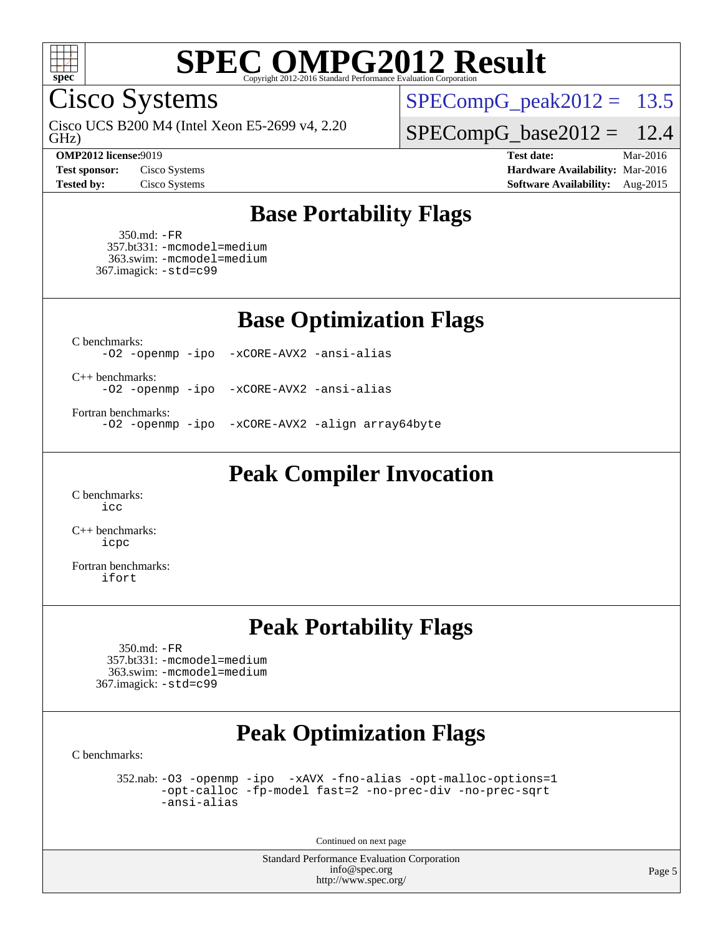

Cisco Systems

GHz) Cisco UCS B200 M4 (Intel Xeon E5-2699 v4, 2.20

 $SPECompG_peak2012 = 13.5$  $SPECompG_peak2012 = 13.5$ 

 $SPECompG_base2012 = 12.4$  $SPECompG_base2012 = 12.4$ 

**[OMP2012 license:](http://www.spec.org/auto/omp2012/Docs/result-fields.html#OMP2012license)**9019 **[Test date:](http://www.spec.org/auto/omp2012/Docs/result-fields.html#Testdate)** Mar-2016 **[Test sponsor:](http://www.spec.org/auto/omp2012/Docs/result-fields.html#Testsponsor)** Cisco Systems **[Hardware Availability:](http://www.spec.org/auto/omp2012/Docs/result-fields.html#HardwareAvailability)** Mar-2016 **[Tested by:](http://www.spec.org/auto/omp2012/Docs/result-fields.html#Testedby)** Cisco Systems **[Software Availability:](http://www.spec.org/auto/omp2012/Docs/result-fields.html#SoftwareAvailability)** Aug-2015

### **[Base Portability Flags](http://www.spec.org/auto/omp2012/Docs/result-fields.html#BasePortabilityFlags)**

 350.md: [-FR](http://www.spec.org/omp2012/results/res2016q1/omp2012-20160316-00071.flags.html#user_baseFPORTABILITY350_md_f-FR) 357.bt331: [-mcmodel=medium](http://www.spec.org/omp2012/results/res2016q1/omp2012-20160316-00071.flags.html#user_basePORTABILITY357_bt331_f-mcmodel_3a41622424bdd074c4f0f2d2f224c7e5) 363.swim: [-mcmodel=medium](http://www.spec.org/omp2012/results/res2016q1/omp2012-20160316-00071.flags.html#user_basePORTABILITY363_swim_f-mcmodel_3a41622424bdd074c4f0f2d2f224c7e5) 367.imagick: [-std=c99](http://www.spec.org/omp2012/results/res2016q1/omp2012-20160316-00071.flags.html#user_baseCPORTABILITY367_imagick_f-std_2ec6533b6e06f1c4a6c9b78d9e9cde24)

**[Base Optimization Flags](http://www.spec.org/auto/omp2012/Docs/result-fields.html#BaseOptimizationFlags)**

[C benchmarks](http://www.spec.org/auto/omp2012/Docs/result-fields.html#Cbenchmarks):

[-O2](http://www.spec.org/omp2012/results/res2016q1/omp2012-20160316-00071.flags.html#user_CCbase_f-O2) [-openmp](http://www.spec.org/omp2012/results/res2016q1/omp2012-20160316-00071.flags.html#user_CCbase_f-openmp) [-ipo](http://www.spec.org/omp2012/results/res2016q1/omp2012-20160316-00071.flags.html#user_CCbase_f-ipo_84062ab53814f613187d02344b8f49a7) [-xCORE-AVX2](http://www.spec.org/omp2012/results/res2016q1/omp2012-20160316-00071.flags.html#user_CCbase_f-xCORE-AVX2) [-ansi-alias](http://www.spec.org/omp2012/results/res2016q1/omp2012-20160316-00071.flags.html#user_CCbase_f-ansi-alias)

[C++ benchmarks:](http://www.spec.org/auto/omp2012/Docs/result-fields.html#CXXbenchmarks)

[-O2](http://www.spec.org/omp2012/results/res2016q1/omp2012-20160316-00071.flags.html#user_CXXbase_f-O2) [-openmp](http://www.spec.org/omp2012/results/res2016q1/omp2012-20160316-00071.flags.html#user_CXXbase_f-openmp) [-ipo](http://www.spec.org/omp2012/results/res2016q1/omp2012-20160316-00071.flags.html#user_CXXbase_f-ipo_84062ab53814f613187d02344b8f49a7) [-xCORE-AVX2](http://www.spec.org/omp2012/results/res2016q1/omp2012-20160316-00071.flags.html#user_CXXbase_f-xCORE-AVX2) [-ansi-alias](http://www.spec.org/omp2012/results/res2016q1/omp2012-20160316-00071.flags.html#user_CXXbase_f-ansi-alias)

[Fortran benchmarks](http://www.spec.org/auto/omp2012/Docs/result-fields.html#Fortranbenchmarks):

[-O2](http://www.spec.org/omp2012/results/res2016q1/omp2012-20160316-00071.flags.html#user_FCbase_f-O2) [-openmp](http://www.spec.org/omp2012/results/res2016q1/omp2012-20160316-00071.flags.html#user_FCbase_f-openmp) [-ipo](http://www.spec.org/omp2012/results/res2016q1/omp2012-20160316-00071.flags.html#user_FCbase_f-ipo_84062ab53814f613187d02344b8f49a7) [-xCORE-AVX2](http://www.spec.org/omp2012/results/res2016q1/omp2012-20160316-00071.flags.html#user_FCbase_f-xCORE-AVX2) [-align array64byte](http://www.spec.org/omp2012/results/res2016q1/omp2012-20160316-00071.flags.html#user_FCbase_f-align_c9377f996e966d652baaf753401d4725)

**[Peak Compiler Invocation](http://www.spec.org/auto/omp2012/Docs/result-fields.html#PeakCompilerInvocation)**

[C benchmarks](http://www.spec.org/auto/omp2012/Docs/result-fields.html#Cbenchmarks): [icc](http://www.spec.org/omp2012/results/res2016q1/omp2012-20160316-00071.flags.html#user_CCpeak_intel_icc_a87c68a857bc5ec5362391a49d3a37a6)

[C++ benchmarks:](http://www.spec.org/auto/omp2012/Docs/result-fields.html#CXXbenchmarks) [icpc](http://www.spec.org/omp2012/results/res2016q1/omp2012-20160316-00071.flags.html#user_CXXpeak_intel_icpc_2d899f8d163502b12eb4a60069f80c1c)

[Fortran benchmarks](http://www.spec.org/auto/omp2012/Docs/result-fields.html#Fortranbenchmarks): [ifort](http://www.spec.org/omp2012/results/res2016q1/omp2012-20160316-00071.flags.html#user_FCpeak_intel_ifort_8a5e5e06b19a251bdeaf8fdab5d62f20)

### **[Peak Portability Flags](http://www.spec.org/auto/omp2012/Docs/result-fields.html#PeakPortabilityFlags)**

 350.md: [-FR](http://www.spec.org/omp2012/results/res2016q1/omp2012-20160316-00071.flags.html#user_peakFPORTABILITY350_md_f-FR) 357.bt331: [-mcmodel=medium](http://www.spec.org/omp2012/results/res2016q1/omp2012-20160316-00071.flags.html#user_peakPORTABILITY357_bt331_f-mcmodel_3a41622424bdd074c4f0f2d2f224c7e5) 363.swim: [-mcmodel=medium](http://www.spec.org/omp2012/results/res2016q1/omp2012-20160316-00071.flags.html#user_peakPORTABILITY363_swim_f-mcmodel_3a41622424bdd074c4f0f2d2f224c7e5) 367.imagick: [-std=c99](http://www.spec.org/omp2012/results/res2016q1/omp2012-20160316-00071.flags.html#user_peakCPORTABILITY367_imagick_f-std_2ec6533b6e06f1c4a6c9b78d9e9cde24)

### **[Peak Optimization Flags](http://www.spec.org/auto/omp2012/Docs/result-fields.html#PeakOptimizationFlags)**

[C benchmarks](http://www.spec.org/auto/omp2012/Docs/result-fields.html#Cbenchmarks):

 352.nab: [-O3](http://www.spec.org/omp2012/results/res2016q1/omp2012-20160316-00071.flags.html#user_peakOPTIMIZE352_nab_f-O3) [-openmp](http://www.spec.org/omp2012/results/res2016q1/omp2012-20160316-00071.flags.html#user_peakOPTIMIZE352_nab_f-openmp) [-ipo](http://www.spec.org/omp2012/results/res2016q1/omp2012-20160316-00071.flags.html#user_peakOPTIMIZE352_nab_f-ipo_84062ab53814f613187d02344b8f49a7) [-xAVX](http://www.spec.org/omp2012/results/res2016q1/omp2012-20160316-00071.flags.html#user_peakOPTIMIZE352_nab_f-xAVX) [-fno-alias](http://www.spec.org/omp2012/results/res2016q1/omp2012-20160316-00071.flags.html#user_peakOPTIMIZE352_nab_f-no-alias_694e77f6c5a51e658e82ccff53a9e63a) [-opt-malloc-options=1](http://www.spec.org/omp2012/results/res2016q1/omp2012-20160316-00071.flags.html#user_peakOPTIMIZE352_nab_f-opt-malloc-options_d882ffc6ff87e51efe45f9a5190004b0) [-opt-calloc](http://www.spec.org/omp2012/results/res2016q1/omp2012-20160316-00071.flags.html#user_peakOPTIMIZE352_nab_f-opt-calloc) [-fp-model fast=2](http://www.spec.org/omp2012/results/res2016q1/omp2012-20160316-00071.flags.html#user_peakOPTIMIZE352_nab_f-fp-model_a7fb8ccb7275e23f0079632c153cfcab) [-no-prec-div](http://www.spec.org/omp2012/results/res2016q1/omp2012-20160316-00071.flags.html#user_peakOPTIMIZE352_nab_f-no-prec-div) [-no-prec-sqrt](http://www.spec.org/omp2012/results/res2016q1/omp2012-20160316-00071.flags.html#user_peakOPTIMIZE352_nab_f-no-prec-sqrt) [-ansi-alias](http://www.spec.org/omp2012/results/res2016q1/omp2012-20160316-00071.flags.html#user_peakCOPTIMIZE352_nab_f-ansi-alias)

Continued on next page

Standard Performance Evaluation Corporation [info@spec.org](mailto:info@spec.org) <http://www.spec.org/>

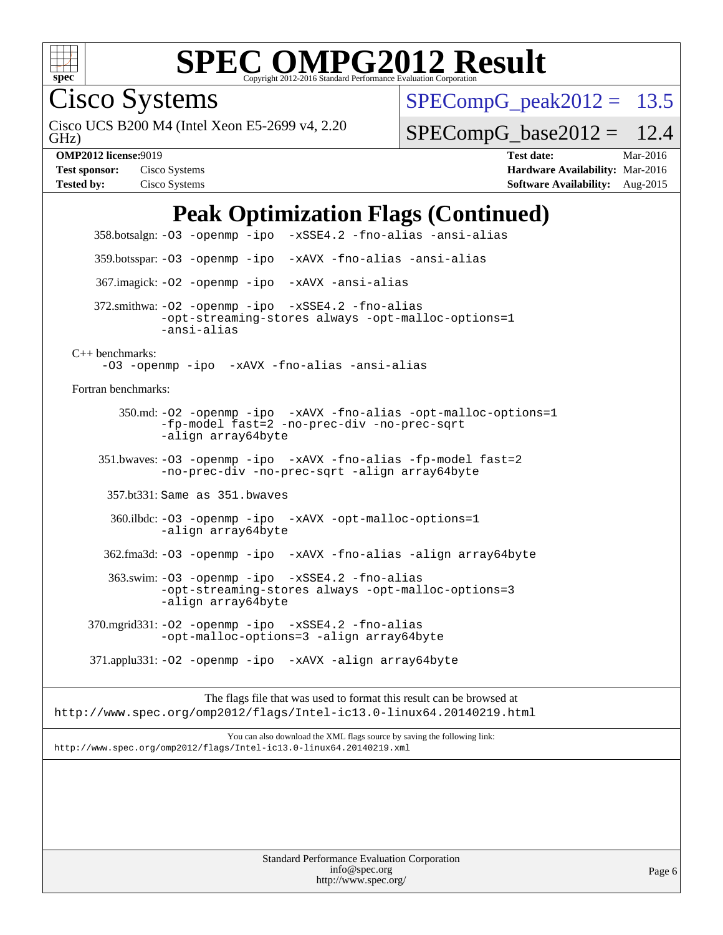

Cisco Systems

GHz) Cisco UCS B200 M4 (Intel Xeon E5-2699 v4, 2.20  $SPECompG<sub>peak2012</sub> = 13.5$ 

 $SPECompG_base2012 = 12.4$  $SPECompG_base2012 = 12.4$ 

**[OMP2012 license:](http://www.spec.org/auto/omp2012/Docs/result-fields.html#OMP2012license)**9019 **[Test date:](http://www.spec.org/auto/omp2012/Docs/result-fields.html#Testdate)** Mar-2016 **[Test sponsor:](http://www.spec.org/auto/omp2012/Docs/result-fields.html#Testsponsor)** Cisco Systems **[Hardware Availability:](http://www.spec.org/auto/omp2012/Docs/result-fields.html#HardwareAvailability)** Mar-2016 **[Tested by:](http://www.spec.org/auto/omp2012/Docs/result-fields.html#Testedby)** Cisco Systems **[Software Availability:](http://www.spec.org/auto/omp2012/Docs/result-fields.html#SoftwareAvailability)** Aug-2015

### **[Peak Optimization Flags \(Continued\)](http://www.spec.org/auto/omp2012/Docs/result-fields.html#PeakOptimizationFlags)**

 358.botsalgn: [-O3](http://www.spec.org/omp2012/results/res2016q1/omp2012-20160316-00071.flags.html#user_peakOPTIMIZE358_botsalgn_f-O3) [-openmp](http://www.spec.org/omp2012/results/res2016q1/omp2012-20160316-00071.flags.html#user_peakOPTIMIZE358_botsalgn_f-openmp) [-ipo](http://www.spec.org/omp2012/results/res2016q1/omp2012-20160316-00071.flags.html#user_peakOPTIMIZE358_botsalgn_f-ipo_84062ab53814f613187d02344b8f49a7) [-xSSE4.2](http://www.spec.org/omp2012/results/res2016q1/omp2012-20160316-00071.flags.html#user_peakOPTIMIZE358_botsalgn_f-xSSE42_f91528193cf0b216347adb8b939d4107) [-fno-alias](http://www.spec.org/omp2012/results/res2016q1/omp2012-20160316-00071.flags.html#user_peakOPTIMIZE358_botsalgn_f-no-alias_694e77f6c5a51e658e82ccff53a9e63a) [-ansi-alias](http://www.spec.org/omp2012/results/res2016q1/omp2012-20160316-00071.flags.html#user_peakCOPTIMIZE358_botsalgn_f-ansi-alias) 359.botsspar: [-O3](http://www.spec.org/omp2012/results/res2016q1/omp2012-20160316-00071.flags.html#user_peakOPTIMIZE359_botsspar_f-O3) [-openmp](http://www.spec.org/omp2012/results/res2016q1/omp2012-20160316-00071.flags.html#user_peakOPTIMIZE359_botsspar_f-openmp) [-ipo](http://www.spec.org/omp2012/results/res2016q1/omp2012-20160316-00071.flags.html#user_peakOPTIMIZE359_botsspar_f-ipo_84062ab53814f613187d02344b8f49a7) [-xAVX](http://www.spec.org/omp2012/results/res2016q1/omp2012-20160316-00071.flags.html#user_peakOPTIMIZE359_botsspar_f-xAVX) [-fno-alias](http://www.spec.org/omp2012/results/res2016q1/omp2012-20160316-00071.flags.html#user_peakOPTIMIZE359_botsspar_f-no-alias_694e77f6c5a51e658e82ccff53a9e63a) [-ansi-alias](http://www.spec.org/omp2012/results/res2016q1/omp2012-20160316-00071.flags.html#user_peakCOPTIMIZE359_botsspar_f-ansi-alias) 367.imagick: [-O2](http://www.spec.org/omp2012/results/res2016q1/omp2012-20160316-00071.flags.html#user_peakOPTIMIZE367_imagick_f-O2) [-openmp](http://www.spec.org/omp2012/results/res2016q1/omp2012-20160316-00071.flags.html#user_peakOPTIMIZE367_imagick_f-openmp) [-ipo](http://www.spec.org/omp2012/results/res2016q1/omp2012-20160316-00071.flags.html#user_peakOPTIMIZE367_imagick_f-ipo_84062ab53814f613187d02344b8f49a7) [-xAVX](http://www.spec.org/omp2012/results/res2016q1/omp2012-20160316-00071.flags.html#user_peakOPTIMIZE367_imagick_f-xAVX) [-ansi-alias](http://www.spec.org/omp2012/results/res2016q1/omp2012-20160316-00071.flags.html#user_peakCOPTIMIZE367_imagick_f-ansi-alias) 372.smithwa: [-O2](http://www.spec.org/omp2012/results/res2016q1/omp2012-20160316-00071.flags.html#user_peakOPTIMIZE372_smithwa_f-O2) [-openmp](http://www.spec.org/omp2012/results/res2016q1/omp2012-20160316-00071.flags.html#user_peakOPTIMIZE372_smithwa_f-openmp) [-ipo](http://www.spec.org/omp2012/results/res2016q1/omp2012-20160316-00071.flags.html#user_peakOPTIMIZE372_smithwa_f-ipo_84062ab53814f613187d02344b8f49a7) [-xSSE4.2](http://www.spec.org/omp2012/results/res2016q1/omp2012-20160316-00071.flags.html#user_peakOPTIMIZE372_smithwa_f-xSSE42_f91528193cf0b216347adb8b939d4107) [-fno-alias](http://www.spec.org/omp2012/results/res2016q1/omp2012-20160316-00071.flags.html#user_peakOPTIMIZE372_smithwa_f-no-alias_694e77f6c5a51e658e82ccff53a9e63a) [-opt-streaming-stores always](http://www.spec.org/omp2012/results/res2016q1/omp2012-20160316-00071.flags.html#user_peakOPTIMIZE372_smithwa_f-opt-streaming-stores-always_66f55dbc532842151ebc4c82f4f5b019) [-opt-malloc-options=1](http://www.spec.org/omp2012/results/res2016q1/omp2012-20160316-00071.flags.html#user_peakOPTIMIZE372_smithwa_f-opt-malloc-options_d882ffc6ff87e51efe45f9a5190004b0) [-ansi-alias](http://www.spec.org/omp2012/results/res2016q1/omp2012-20160316-00071.flags.html#user_peakCOPTIMIZE372_smithwa_f-ansi-alias) [C++ benchmarks:](http://www.spec.org/auto/omp2012/Docs/result-fields.html#CXXbenchmarks) [-O3](http://www.spec.org/omp2012/results/res2016q1/omp2012-20160316-00071.flags.html#user_CXXpeak_f-O3) [-openmp](http://www.spec.org/omp2012/results/res2016q1/omp2012-20160316-00071.flags.html#user_CXXpeak_f-openmp) [-ipo](http://www.spec.org/omp2012/results/res2016q1/omp2012-20160316-00071.flags.html#user_CXXpeak_f-ipo_84062ab53814f613187d02344b8f49a7) [-xAVX](http://www.spec.org/omp2012/results/res2016q1/omp2012-20160316-00071.flags.html#user_CXXpeak_f-xAVX) [-fno-alias](http://www.spec.org/omp2012/results/res2016q1/omp2012-20160316-00071.flags.html#user_CXXpeak_f-no-alias_694e77f6c5a51e658e82ccff53a9e63a) [-ansi-alias](http://www.spec.org/omp2012/results/res2016q1/omp2012-20160316-00071.flags.html#user_CXXpeak_f-ansi-alias) [Fortran benchmarks](http://www.spec.org/auto/omp2012/Docs/result-fields.html#Fortranbenchmarks): 350.md: [-O2](http://www.spec.org/omp2012/results/res2016q1/omp2012-20160316-00071.flags.html#user_peakOPTIMIZE350_md_f-O2) [-openmp](http://www.spec.org/omp2012/results/res2016q1/omp2012-20160316-00071.flags.html#user_peakOPTIMIZE350_md_f-openmp) [-ipo](http://www.spec.org/omp2012/results/res2016q1/omp2012-20160316-00071.flags.html#user_peakOPTIMIZE350_md_f-ipo_84062ab53814f613187d02344b8f49a7) [-xAVX](http://www.spec.org/omp2012/results/res2016q1/omp2012-20160316-00071.flags.html#user_peakOPTIMIZE350_md_f-xAVX) [-fno-alias](http://www.spec.org/omp2012/results/res2016q1/omp2012-20160316-00071.flags.html#user_peakOPTIMIZE350_md_f-no-alias_694e77f6c5a51e658e82ccff53a9e63a) [-opt-malloc-options=1](http://www.spec.org/omp2012/results/res2016q1/omp2012-20160316-00071.flags.html#user_peakOPTIMIZE350_md_f-opt-malloc-options_d882ffc6ff87e51efe45f9a5190004b0) [-fp-model fast=2](http://www.spec.org/omp2012/results/res2016q1/omp2012-20160316-00071.flags.html#user_peakFOPTIMIZE350_md_f-fp-model_a7fb8ccb7275e23f0079632c153cfcab) [-no-prec-div](http://www.spec.org/omp2012/results/res2016q1/omp2012-20160316-00071.flags.html#user_peakFOPTIMIZE350_md_f-no-prec-div) [-no-prec-sqrt](http://www.spec.org/omp2012/results/res2016q1/omp2012-20160316-00071.flags.html#user_peakFOPTIMIZE350_md_f-no-prec-sqrt) [-align array64byte](http://www.spec.org/omp2012/results/res2016q1/omp2012-20160316-00071.flags.html#user_peakFOPTIMIZE350_md_f-align_c9377f996e966d652baaf753401d4725) 351.bwaves: [-O3](http://www.spec.org/omp2012/results/res2016q1/omp2012-20160316-00071.flags.html#user_peakOPTIMIZE351_bwaves_f-O3) [-openmp](http://www.spec.org/omp2012/results/res2016q1/omp2012-20160316-00071.flags.html#user_peakOPTIMIZE351_bwaves_f-openmp) [-ipo](http://www.spec.org/omp2012/results/res2016q1/omp2012-20160316-00071.flags.html#user_peakOPTIMIZE351_bwaves_f-ipo_84062ab53814f613187d02344b8f49a7) [-xAVX](http://www.spec.org/omp2012/results/res2016q1/omp2012-20160316-00071.flags.html#user_peakOPTIMIZE351_bwaves_f-xAVX) [-fno-alias](http://www.spec.org/omp2012/results/res2016q1/omp2012-20160316-00071.flags.html#user_peakOPTIMIZE351_bwaves_f-no-alias_694e77f6c5a51e658e82ccff53a9e63a) [-fp-model fast=2](http://www.spec.org/omp2012/results/res2016q1/omp2012-20160316-00071.flags.html#user_peakFOPTIMIZE351_bwaves_f-fp-model_a7fb8ccb7275e23f0079632c153cfcab) [-no-prec-div](http://www.spec.org/omp2012/results/res2016q1/omp2012-20160316-00071.flags.html#user_peakFOPTIMIZE351_bwaves_f-no-prec-div) [-no-prec-sqrt](http://www.spec.org/omp2012/results/res2016q1/omp2012-20160316-00071.flags.html#user_peakFOPTIMIZE351_bwaves_f-no-prec-sqrt) [-align array64byte](http://www.spec.org/omp2012/results/res2016q1/omp2012-20160316-00071.flags.html#user_peakFOPTIMIZE351_bwaves_f-align_c9377f996e966d652baaf753401d4725) 357.bt331: Same as 351.bwaves 360.ilbdc: [-O3](http://www.spec.org/omp2012/results/res2016q1/omp2012-20160316-00071.flags.html#user_peakOPTIMIZE360_ilbdc_f-O3) [-openmp](http://www.spec.org/omp2012/results/res2016q1/omp2012-20160316-00071.flags.html#user_peakOPTIMIZE360_ilbdc_f-openmp) [-ipo](http://www.spec.org/omp2012/results/res2016q1/omp2012-20160316-00071.flags.html#user_peakOPTIMIZE360_ilbdc_f-ipo_84062ab53814f613187d02344b8f49a7) [-xAVX](http://www.spec.org/omp2012/results/res2016q1/omp2012-20160316-00071.flags.html#user_peakOPTIMIZE360_ilbdc_f-xAVX) [-opt-malloc-options=1](http://www.spec.org/omp2012/results/res2016q1/omp2012-20160316-00071.flags.html#user_peakOPTIMIZE360_ilbdc_f-opt-malloc-options_d882ffc6ff87e51efe45f9a5190004b0) [-align array64byte](http://www.spec.org/omp2012/results/res2016q1/omp2012-20160316-00071.flags.html#user_peakFOPTIMIZE360_ilbdc_f-align_c9377f996e966d652baaf753401d4725) 362.fma3d: [-O3](http://www.spec.org/omp2012/results/res2016q1/omp2012-20160316-00071.flags.html#user_peakOPTIMIZE362_fma3d_f-O3) [-openmp](http://www.spec.org/omp2012/results/res2016q1/omp2012-20160316-00071.flags.html#user_peakOPTIMIZE362_fma3d_f-openmp) [-ipo](http://www.spec.org/omp2012/results/res2016q1/omp2012-20160316-00071.flags.html#user_peakOPTIMIZE362_fma3d_f-ipo_84062ab53814f613187d02344b8f49a7) [-xAVX](http://www.spec.org/omp2012/results/res2016q1/omp2012-20160316-00071.flags.html#user_peakOPTIMIZE362_fma3d_f-xAVX) [-fno-alias](http://www.spec.org/omp2012/results/res2016q1/omp2012-20160316-00071.flags.html#user_peakOPTIMIZE362_fma3d_f-no-alias_694e77f6c5a51e658e82ccff53a9e63a) [-align array64byte](http://www.spec.org/omp2012/results/res2016q1/omp2012-20160316-00071.flags.html#user_peakFOPTIMIZE362_fma3d_f-align_c9377f996e966d652baaf753401d4725) 363.swim: [-O3](http://www.spec.org/omp2012/results/res2016q1/omp2012-20160316-00071.flags.html#user_peakOPTIMIZE363_swim_f-O3) [-openmp](http://www.spec.org/omp2012/results/res2016q1/omp2012-20160316-00071.flags.html#user_peakOPTIMIZE363_swim_f-openmp) [-ipo](http://www.spec.org/omp2012/results/res2016q1/omp2012-20160316-00071.flags.html#user_peakOPTIMIZE363_swim_f-ipo_84062ab53814f613187d02344b8f49a7) [-xSSE4.2](http://www.spec.org/omp2012/results/res2016q1/omp2012-20160316-00071.flags.html#user_peakOPTIMIZE363_swim_f-xSSE42_f91528193cf0b216347adb8b939d4107) [-fno-alias](http://www.spec.org/omp2012/results/res2016q1/omp2012-20160316-00071.flags.html#user_peakOPTIMIZE363_swim_f-no-alias_694e77f6c5a51e658e82ccff53a9e63a) [-opt-streaming-stores always](http://www.spec.org/omp2012/results/res2016q1/omp2012-20160316-00071.flags.html#user_peakOPTIMIZE363_swim_f-opt-streaming-stores-always_66f55dbc532842151ebc4c82f4f5b019) [-opt-malloc-options=3](http://www.spec.org/omp2012/results/res2016q1/omp2012-20160316-00071.flags.html#user_peakOPTIMIZE363_swim_f-opt-malloc-options_13ab9b803cf986b4ee62f0a5998c2238) [-align array64byte](http://www.spec.org/omp2012/results/res2016q1/omp2012-20160316-00071.flags.html#user_peakFOPTIMIZE363_swim_f-align_c9377f996e966d652baaf753401d4725) 370.mgrid331: [-O2](http://www.spec.org/omp2012/results/res2016q1/omp2012-20160316-00071.flags.html#user_peakOPTIMIZE370_mgrid331_f-O2) [-openmp](http://www.spec.org/omp2012/results/res2016q1/omp2012-20160316-00071.flags.html#user_peakOPTIMIZE370_mgrid331_f-openmp) [-ipo](http://www.spec.org/omp2012/results/res2016q1/omp2012-20160316-00071.flags.html#user_peakOPTIMIZE370_mgrid331_f-ipo_84062ab53814f613187d02344b8f49a7) [-xSSE4.2](http://www.spec.org/omp2012/results/res2016q1/omp2012-20160316-00071.flags.html#user_peakOPTIMIZE370_mgrid331_f-xSSE42_f91528193cf0b216347adb8b939d4107) [-fno-alias](http://www.spec.org/omp2012/results/res2016q1/omp2012-20160316-00071.flags.html#user_peakOPTIMIZE370_mgrid331_f-no-alias_694e77f6c5a51e658e82ccff53a9e63a) [-opt-malloc-options=3](http://www.spec.org/omp2012/results/res2016q1/omp2012-20160316-00071.flags.html#user_peakOPTIMIZE370_mgrid331_f-opt-malloc-options_13ab9b803cf986b4ee62f0a5998c2238) [-align array64byte](http://www.spec.org/omp2012/results/res2016q1/omp2012-20160316-00071.flags.html#user_peakFOPTIMIZE370_mgrid331_f-align_c9377f996e966d652baaf753401d4725) 371.applu331: [-O2](http://www.spec.org/omp2012/results/res2016q1/omp2012-20160316-00071.flags.html#user_peakOPTIMIZE371_applu331_f-O2) [-openmp](http://www.spec.org/omp2012/results/res2016q1/omp2012-20160316-00071.flags.html#user_peakOPTIMIZE371_applu331_f-openmp) [-ipo](http://www.spec.org/omp2012/results/res2016q1/omp2012-20160316-00071.flags.html#user_peakOPTIMIZE371_applu331_f-ipo_84062ab53814f613187d02344b8f49a7) [-xAVX](http://www.spec.org/omp2012/results/res2016q1/omp2012-20160316-00071.flags.html#user_peakOPTIMIZE371_applu331_f-xAVX) [-align array64byte](http://www.spec.org/omp2012/results/res2016q1/omp2012-20160316-00071.flags.html#user_peakFOPTIMIZE371_applu331_f-align_c9377f996e966d652baaf753401d4725) The flags file that was used to format this result can be browsed at

<http://www.spec.org/omp2012/flags/Intel-ic13.0-linux64.20140219.html>

You can also download the XML flags source by saving the following link: <http://www.spec.org/omp2012/flags/Intel-ic13.0-linux64.20140219.xml>

> Standard Performance Evaluation Corporation [info@spec.org](mailto:info@spec.org) <http://www.spec.org/>